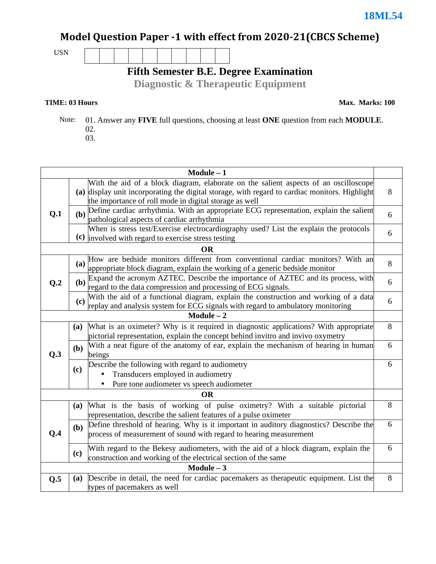### Model Question Paper -1 with effect from 2020-21(CBCS Scheme)

USN

**Fifth Semester B.E. Degree Examination** 

**Diagnostic & Therapeutic Equipment**

### **TIME: 03 Hours**

**Max. Marks: 100**

 Note: 01. Answer any **FIVE** full questions, choosing at least **ONE** question from each **MODULE**. 02. 03.

| $Module - 1$ |            |                                                                                                                                                                                                                                                  |   |  |  |
|--------------|------------|--------------------------------------------------------------------------------------------------------------------------------------------------------------------------------------------------------------------------------------------------|---|--|--|
| Q.1          |            | With the aid of a block diagram, elaborate on the salient aspects of an oscilloscope<br>(a) display unit incorporating the digital storage, with regard to cardiac monitors. Highlight<br>the importance of roll mode in digital storage as well | 8 |  |  |
|              |            | (b) Define cardiac arrhythmia. With an appropriate ECG representation, explain the salient<br>pathological aspects of cardiac arrhythmia                                                                                                         | 6 |  |  |
|              |            | When is stress test/Exercise electrocardiography used? List the explain the protocols<br>(c) involved with regard to exercise stress testing                                                                                                     | 6 |  |  |
|              |            | <b>OR</b>                                                                                                                                                                                                                                        |   |  |  |
|              |            | (a) How are bedside monitors different from conventional cardiac monitors? With an<br>appropriate block diagram, explain the working of a generic bedside monitor                                                                                | 8 |  |  |
| Q.2          |            | (b) Expand the acronym AZTEC. Describe the importance of AZTEC and its process, with regard to the data compression and processing of ECG signals.                                                                                               | 6 |  |  |
|              | (c)        | With the aid of a functional diagram, explain the construction and working of a data<br>replay and analysis system for ECG signals with regard to ambulatory monitoring                                                                          | 6 |  |  |
|              |            | $Module - 2$                                                                                                                                                                                                                                     |   |  |  |
|              | <b>(a)</b> | What is an oximeter? Why is it required in diagnostic applications? With appropriate<br>pictorial representation, explain the concept behind invitro and invivo oxymetry                                                                         | 8 |  |  |
| Q.3          | (b)        | With a neat figure of the anatomy of ear, explain the mechanism of hearing in human<br>beings                                                                                                                                                    | 6 |  |  |
|              | (c)        | Describe the following with regard to audiometry<br>Transducers employed in audiometry<br>Pure tone audiometer vs speech audiometer                                                                                                              | 6 |  |  |
| <b>OR</b>    |            |                                                                                                                                                                                                                                                  |   |  |  |
| O.4          | <b>(a)</b> | What is the basis of working of pulse oximetry? With a suitable pictorial<br>representation, describe the salient features of a pulse oximeter                                                                                                   | 8 |  |  |
|              | (b)        | Define threshold of hearing. Why is it important in auditory diagnostics? Describe the<br>process of measurement of sound with regard to hearing measurement                                                                                     | 6 |  |  |
|              | (c)        | With regard to the Bekesy audiometers, with the aid of a block diagram, explain the<br>construction and working of the electrical section of the same                                                                                            | 6 |  |  |
| $Module - 3$ |            |                                                                                                                                                                                                                                                  |   |  |  |
| Q.5          | <b>(a)</b> | Describe in detail, the need for cardiac pacemakers as therapeutic equipment. List the<br>types of pacemakers as well                                                                                                                            | 8 |  |  |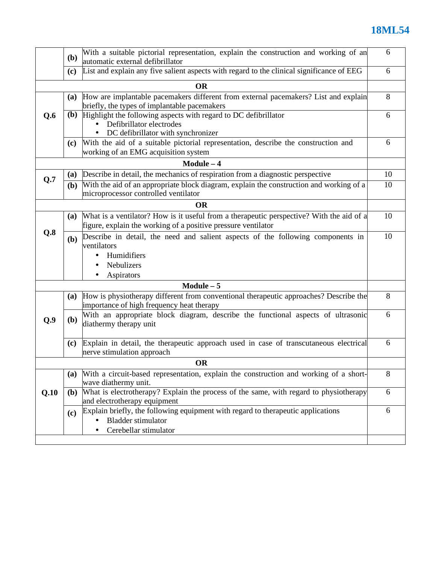# **18ML54**

|      | With a suitable pictorial representation, explain the construction and working of an<br>( <b>b</b> )<br>automatic external defibrillator |                                                                                                                                                           |    |  |  |  |
|------|------------------------------------------------------------------------------------------------------------------------------------------|-----------------------------------------------------------------------------------------------------------------------------------------------------------|----|--|--|--|
|      | (c)                                                                                                                                      | List and explain any five salient aspects with regard to the clinical significance of EEG                                                                 | 6  |  |  |  |
|      |                                                                                                                                          | <b>OR</b>                                                                                                                                                 |    |  |  |  |
|      | (a)                                                                                                                                      | How are implantable pacemakers different from external pacemakers? List and explain<br>briefly, the types of implantable pacemakers                       | 8  |  |  |  |
| Q.6  | ( <b>b</b> )                                                                                                                             | Highlight the following aspects with regard to DC defibrillator<br>Defibrillator electrodes<br>DC defibrillator with synchronizer                         |    |  |  |  |
|      | (c)                                                                                                                                      | With the aid of a suitable pictorial representation, describe the construction and<br>working of an EMG acquisition system                                | 6  |  |  |  |
|      |                                                                                                                                          | $Module - 4$                                                                                                                                              |    |  |  |  |
|      | (a)                                                                                                                                      | Describe in detail, the mechanics of respiration from a diagnostic perspective                                                                            | 10 |  |  |  |
| Q.7  | (b)                                                                                                                                      | With the aid of an appropriate block diagram, explain the construction and working of a<br>microprocessor controlled ventilator                           | 10 |  |  |  |
|      |                                                                                                                                          | <b>OR</b>                                                                                                                                                 |    |  |  |  |
|      | <b>(a)</b>                                                                                                                               | What is a ventilator? How is it useful from a therapeutic perspective? With the aid of a<br>figure, explain the working of a positive pressure ventilator | 10 |  |  |  |
| Q.8  | (b)                                                                                                                                      | Describe in detail, the need and salient aspects of the following components in<br>ventilators<br>Humidifiers<br>Nebulizers<br>Aspirators<br>٠            | 10 |  |  |  |
|      |                                                                                                                                          | $Module - 5$                                                                                                                                              |    |  |  |  |
|      | <b>(a)</b>                                                                                                                               | How is physiotherapy different from conventional therapeutic approaches? Describe the<br>importance of high frequency heat therapy                        | 8  |  |  |  |
| Q.9  | (b)                                                                                                                                      | With an appropriate block diagram, describe the functional aspects of ultrasonic<br>diathermy therapy unit                                                | 6  |  |  |  |
|      | (c)                                                                                                                                      | Explain in detail, the therapeutic approach used in case of transcutaneous electrical<br>nerve stimulation approach                                       | 6  |  |  |  |
|      |                                                                                                                                          | <b>OR</b>                                                                                                                                                 |    |  |  |  |
|      | (a)                                                                                                                                      | With a circuit-based representation, explain the construction and working of a short-<br>wave diathermy unit.                                             | 8  |  |  |  |
| Q.10 | (b)                                                                                                                                      | What is electrotherapy? Explain the process of the same, with regard to physiotherapy<br>and electrotherapy equipment                                     | 6  |  |  |  |
|      | (c)                                                                                                                                      | Explain briefly, the following equipment with regard to therapeutic applications<br><b>Bladder stimulator</b><br>Cerebellar stimulator                    | 6  |  |  |  |
|      |                                                                                                                                          |                                                                                                                                                           |    |  |  |  |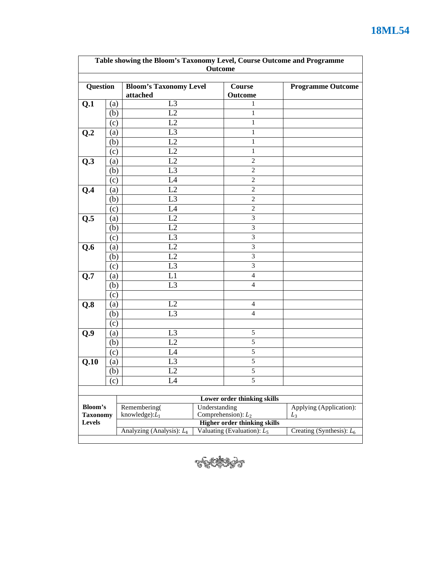| Table showing the Bloom's Taxonomy Level, Course Outcome and Programme<br>Outcome |                          |                                           |                                              |                               |                          |
|-----------------------------------------------------------------------------------|--------------------------|-------------------------------------------|----------------------------------------------|-------------------------------|--------------------------|
| Question                                                                          |                          | <b>Bloom's Taxonomy Level</b><br>attached |                                              | Course<br>Outcome             | <b>Programme Outcome</b> |
| Q.1                                                                               | (a)                      | L <sub>3</sub>                            |                                              | 1                             |                          |
|                                                                                   | (b)                      | L2                                        |                                              | 1                             |                          |
|                                                                                   | (c)                      | L2                                        |                                              | 1                             |                          |
| Q.2                                                                               | (a)                      | L <sub>3</sub>                            |                                              | $\mathbf{1}$                  |                          |
|                                                                                   | (b)                      | L2                                        |                                              | $\mathbf{1}$                  |                          |
|                                                                                   | (c)                      | L2                                        |                                              | $\mathbf{1}$                  |                          |
| Q.3                                                                               | $\left( \text{a}\right)$ | L2                                        |                                              | $\sqrt{2}$                    |                          |
|                                                                                   | (b)                      | L <sub>3</sub>                            |                                              | $\overline{2}$                |                          |
|                                                                                   | (c)                      | L <sub>4</sub>                            |                                              | $\sqrt{2}$                    |                          |
| Q.4                                                                               | (a)                      | L2                                        |                                              | $\mathbf{2}$                  |                          |
|                                                                                   | (b)                      | L <sub>3</sub>                            |                                              | $\boldsymbol{2}$              |                          |
|                                                                                   | (c)                      | L4                                        |                                              | 2                             |                          |
| Q.5                                                                               | (a)                      | L2                                        |                                              | 3                             |                          |
|                                                                                   | (b)                      | L2                                        |                                              | $\mathfrak{Z}$                |                          |
|                                                                                   | (c)                      | L <sub>3</sub>                            |                                              | $\mathfrak{Z}$                |                          |
| Q.6                                                                               | (a)                      | L2                                        |                                              | $\mathfrak{Z}$                |                          |
|                                                                                   | (b)                      | L2                                        |                                              | 3                             |                          |
|                                                                                   | (c)                      | L <sub>3</sub>                            |                                              | 3                             |                          |
| Q.7                                                                               | (a)                      | L1                                        |                                              | 4                             |                          |
|                                                                                   | (b)                      | L <sub>3</sub>                            |                                              | 4                             |                          |
|                                                                                   | (c)                      |                                           |                                              |                               |                          |
| Q.8                                                                               | (a)                      | L2                                        |                                              | 4                             |                          |
|                                                                                   | (b)                      | L <sub>3</sub>                            |                                              | $\overline{4}$                |                          |
|                                                                                   | (c)                      |                                           |                                              |                               |                          |
| Q.9                                                                               | (a)                      | L <sub>3</sub>                            |                                              | $\sqrt{5}$                    |                          |
|                                                                                   | (b)                      | L2                                        |                                              | 5                             |                          |
|                                                                                   | (c)                      | L4                                        |                                              | 5                             |                          |
| Q.10                                                                              | (a)                      | L <sub>3</sub>                            |                                              | $\sqrt{5}$                    |                          |
|                                                                                   | (b)                      | L2                                        |                                              | 5                             |                          |
|                                                                                   | (c)                      | L4                                        |                                              | 5                             |                          |
|                                                                                   |                          |                                           |                                              |                               |                          |
|                                                                                   |                          |                                           |                                              | Lower order thinking skills   |                          |
| Bloom's                                                                           |                          | Remembering(                              | Understanding                                | Comprehension): $L_2$         | Applying (Application):  |
| <b>Taxonomy</b><br><b>Levels</b>                                                  |                          | knowledge): $L_1$                         | $L_3$<br><b>Higher order thinking skills</b> |                               |                          |
|                                                                                   |                          | Analyzing (Analysis): L <sub>4</sub>      | Creating (Synthesis): $L_6$                  |                               |                          |
|                                                                                   |                          |                                           |                                              | Valuating (Evaluation): $L_5$ |                          |



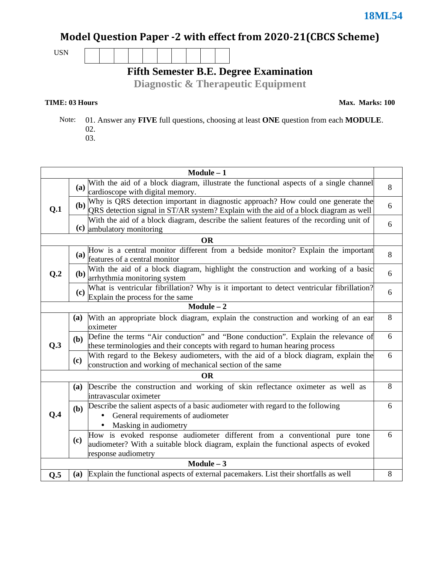## Model Question Paper -2 with effect from 2020-21(CBCS Scheme)

USN

**Fifth Semester B.E. Degree Examination** 

**Diagnostic & Therapeutic Equipment**

### **TIME: 03 Hours**

**Max. Marks: 100**

 Note: 01. Answer any **FIVE** full questions, choosing at least **ONE** question from each **MODULE**. 02. 03.

| $Module - 1$    |            |                                                                                                                                                                                         |   |  |
|-----------------|------------|-----------------------------------------------------------------------------------------------------------------------------------------------------------------------------------------|---|--|
| Q.1             | <b>(a)</b> | With the aid of a block diagram, illustrate the functional aspects of a single channel                                                                                                  | 8 |  |
|                 |            | cardioscope with digital memory.                                                                                                                                                        |   |  |
|                 |            | (b) Why is QRS detection important in diagnostic approach? How could one generate the QRS detection signal in ST/AR system? Explain with the aid of a block diagram as well             | 6 |  |
|                 |            | With the aid of a block diagram, describe the salient features of the recording unit of<br>(c) ambulatory monitoring                                                                    | 6 |  |
|                 |            | <b>OR</b>                                                                                                                                                                               |   |  |
|                 |            | How is a central monitor different from a bedside monitor? Explain the important<br>(a) $\frac{110 \text{ m/s}}{\text{features of a central monitor}}$                                  | 8 |  |
| Q <sub>.2</sub> | (b)        | With the aid of a block diagram, highlight the construction and working of a basic<br>arrhythmia monitoring system                                                                      | 6 |  |
|                 | (c)        | What is ventricular fibrillation? Why is it important to detect ventricular fibrillation?<br>Explain the process for the same                                                           | 6 |  |
|                 |            | Module $-\overline{2}$                                                                                                                                                                  |   |  |
|                 | (a)        | With an appropriate block diagram, explain the construction and working of an ear<br>oximeter                                                                                           | 8 |  |
| Q.3             | (b)        | Define the terms "Air conduction" and "Bone conduction". Explain the relevance of<br>these terminologies and their concepts with regard to human hearing process                        | 6 |  |
|                 | (c)        | With regard to the Bekesy audiometers, with the aid of a block diagram, explain the<br>construction and working of mechanical section of the same                                       | 6 |  |
|                 |            | <b>OR</b>                                                                                                                                                                               |   |  |
|                 | (a)        | Describe the construction and working of skin reflectance oximeter as well as<br>intravascular oximeter                                                                                 | 8 |  |
| Q.4             | (b)        | Describe the salient aspects of a basic audiometer with regard to the following<br>General requirements of audiometer<br>Masking in audiometry                                          | 6 |  |
|                 | (c)        | How is evoked response audiometer different from a conventional pure tone<br>audiometer? With a suitable block diagram, explain the functional aspects of evoked<br>response audiometry | 6 |  |
| Module $-3$     |            |                                                                                                                                                                                         |   |  |
| Q.5             |            | (a) Explain the functional aspects of external pacemakers. List their shortfalls as well                                                                                                | 8 |  |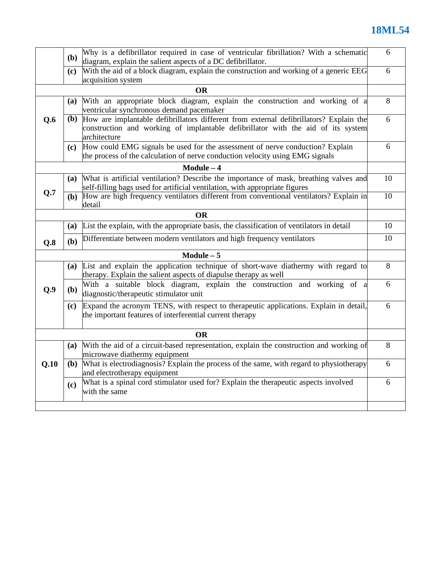# **18ML54**

|           | Why is a defibrillator required in case of ventricular fibrillation? With a schematic<br>( <b>b</b> )<br>diagram, explain the salient aspects of a DC defibrillator. |                                                                                                                                                                                                |    |  |  |  |
|-----------|----------------------------------------------------------------------------------------------------------------------------------------------------------------------|------------------------------------------------------------------------------------------------------------------------------------------------------------------------------------------------|----|--|--|--|
|           | With the aid of a block diagram, explain the construction and working of a generic EEG<br>(c)<br>acquisition system                                                  |                                                                                                                                                                                                |    |  |  |  |
|           |                                                                                                                                                                      | <b>OR</b>                                                                                                                                                                                      |    |  |  |  |
|           | (a)                                                                                                                                                                  | With an appropriate block diagram, explain the construction and working of a<br>ventricular synchronous demand pacemaker                                                                       | 8  |  |  |  |
| Q.6       |                                                                                                                                                                      | (b) How are implantable defibrillators different from external defibrillators? Explain the<br>construction and working of implantable defibrillator with the aid of its system<br>architecture |    |  |  |  |
|           |                                                                                                                                                                      | (c) How could EMG signals be used for the assessment of nerve conduction? Explain<br>the process of the calculation of nerve conduction velocity using EMG signals                             | 6  |  |  |  |
|           |                                                                                                                                                                      | $Module - 4$                                                                                                                                                                                   |    |  |  |  |
|           | (a)                                                                                                                                                                  | What is artificial ventilation? Describe the importance of mask, breathing valves and<br>self-filling bags used for artificial ventilation, with appropriate figures                           | 10 |  |  |  |
| Q.7       | ( <b>b</b> )                                                                                                                                                         | How are high frequency ventilators different from conventional ventilators? Explain in<br>detail                                                                                               | 10 |  |  |  |
|           |                                                                                                                                                                      | <b>OR</b>                                                                                                                                                                                      |    |  |  |  |
|           |                                                                                                                                                                      | (a) List the explain, with the appropriate basis, the classification of ventilators in detail                                                                                                  | 10 |  |  |  |
| Q.8       | (b)                                                                                                                                                                  | Differentiate between modern ventilators and high frequency ventilators                                                                                                                        | 10 |  |  |  |
|           |                                                                                                                                                                      | $Module - 5$                                                                                                                                                                                   |    |  |  |  |
|           | (a)                                                                                                                                                                  | List and explain the application technique of short-wave diathermy with regard to<br>therapy. Explain the salient aspects of diapulse therapy as well                                          | 8  |  |  |  |
| Q.9       | ( <b>b</b> )                                                                                                                                                         | With a suitable block diagram, explain the construction and working of a<br>diagnostic/therapeutic stimulator unit                                                                             | 6  |  |  |  |
|           | (c)                                                                                                                                                                  | Expand the acronym TENS, with respect to therapeutic applications. Explain in detail,<br>the important features of interferential current therapy                                              | 6  |  |  |  |
| <b>OR</b> |                                                                                                                                                                      |                                                                                                                                                                                                |    |  |  |  |
| Q.10      | (a)                                                                                                                                                                  | With the aid of a circuit-based representation, explain the construction and working of<br>microwave diathermy equipment                                                                       | 8  |  |  |  |
|           | (b)                                                                                                                                                                  | What is electrodiagnosis? Explain the process of the same, with regard to physiotherapy<br>and electrotherapy equipment                                                                        | 6  |  |  |  |
|           | (c)                                                                                                                                                                  | What is a spinal cord stimulator used for? Explain the therapeutic aspects involved<br>with the same                                                                                           | 6  |  |  |  |
|           |                                                                                                                                                                      |                                                                                                                                                                                                |    |  |  |  |